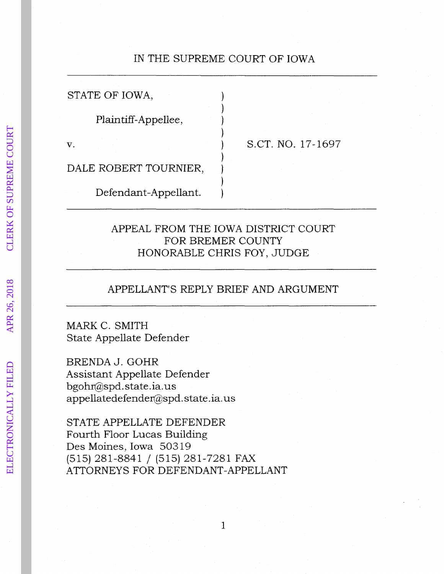# IN THE SUPREME COURT OF IOWA

| STATE OF IOWA,        |                   |
|-----------------------|-------------------|
| Plaintiff-Appellee,   |                   |
|                       | S.CT. NO. 17-1697 |
| DALE ROBERT TOURNIER, |                   |
| Defendant-Appellant.  |                   |

## APPEAL FROM THE IOWA DISTRICT COURT FOR BREMER COUNTY HONORABLE CHRIS FOY, JUDGE

### APPELLANT'S REPLY BRIEF AND ARGUMENT

MARK C. SMITH State Appellate Defender

BRENDA J. GOHR Assistant Appellate Defender bgohr@spd. state. ia. us appellatedefender@spd. state .ia. us

STATE APPELLATE DEFENDER Fourth Floor Lucas Building Des Moines, Iowa 50319 (515) 281-8841 / (515) 281-7281 FAX ATTORNEYS FOR DEFENDANT-APPELLANT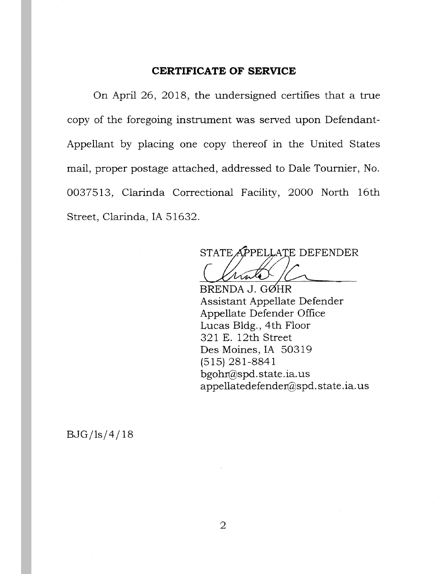### **CERTIFICATE OF SERVICE**

On April 26, 2018, the undersigned certifies that a true copy of the foregoing instrument was served upon Defendant-Appellant by placing one copy thereof in the United States mail, proper postage attached, addressed to Dale Tournier, No. 0037513, Clarinda Correctional Facility, 2000 North 16th Street, Clarinda, IA 51632.

STATE APPELLATE DEFENDER

BRENDA J. GØHR Assistant Appellate Defender Appellate Defender Office Lucas Bldg., 4th Floor 321 E. 12th Street Des Moines, IA 50319 (515) 281-8841 bgoht@spd.state.ia.us appellatedefendet@spd. state .ia. us

 $BJG/ls/4/18$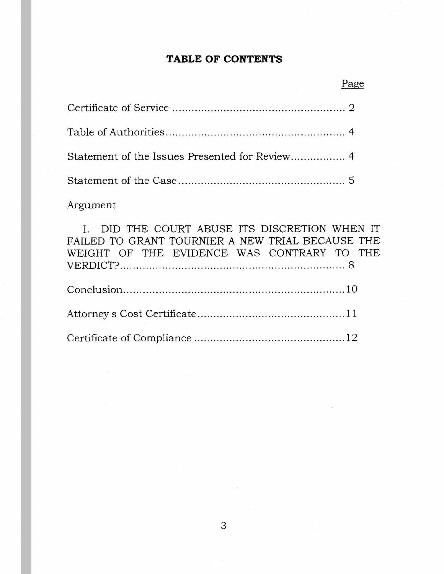# **TABLE OF CONTENTS**

| Statement of the Issues Presented for Review 4 |  |
|------------------------------------------------|--|
|                                                |  |

Argument

I. DID THE COURT ABUSE ITS DISCRETION WHEN IT FAILED TO GRANT TOURNIER A NEW TRIAL BECAUSE THE WEIGHT OF THE EVIDENCE WAS CONTRARY TO THE VERDICT? ...................................................................... 8

Page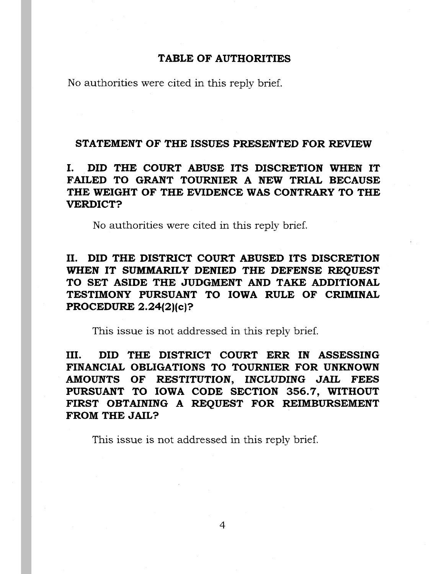### **TABLE OF AUTHORITIES**

No authorities were cited in this reply brief.

### **STATEMENT OF THE ISSUES PRESENTED FOR REVIEW**

# I. **DID THE COURT ABUSE ITS DISCRETION WHEN IT FAILED TO GRANT TOURNIER A NEW TRIAL BECAUSE THE WEIGHT OF THE EVIDENCE WAS CONTRARY TO THE VERDICT?**

No authorities were cited in this reply brief.

# II. **DID THE DISTRICT COURT ABUSED ITS DISCRETION WHEN IT SUMMARILY DENIED THE DEFENSE REQUEST TO SET ASIDE THE JUDGMENT AND TAKE ADDITIONAL TESTIMONY PURSUANT TO IOWA RULE OF CRIMINAL PROCEDURE 2.24(2)(c)?**

This issue is not addressed in this reply brief.

III. **DID THE DISTRICT COURT ERR IN ASSESSING FINANCIAL OBLIGATIONS TO TOURNIER FOR UNKNOWN AMOUNTS OF RESTITUTION, INCLUDING JAIL FEES PURSUANT TO IOWA CODE SECTION 356.7, WITHOUT FIRST OBTAINING A REQUEST FOR REIMBURSEMENT FROM THE JAIL?** 

This issue is not addressed in this reply brief.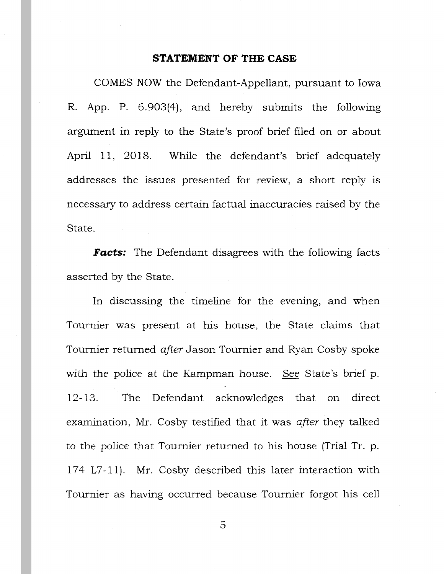#### **STATEMENT OF THE CASE**

COMES NOW the Defendant-Appellant, pursuant to Iowa R. App. P. 6. 903(4), and hereby submits the following argument in reply to the State's proof brief filed on or about April 11, 2018. While the defendant's brief adequately addresses the issues presented for review, a short reply is necessary to address certain factual inaccuracies raised by the State.

**Facts:** The Defendant disagrees with the following facts asserted by the State.

In discussing the timeline for the evening, and when Tournier was present at his house, the State claims that Tournier returned *after* Jason Tournier and Ryan Cosby spoke with the police at the Kampman house. See State's brief p. 12-13. The Defendant acknowledges that on direct examination, Mr. Cosby testified that it was *after* they talked to the police that Tournier returned to his house (Trial Tr. p. 174 L7-11). Mr. Cosby described this later interaction with Tournier as having occurred because Tournier forgot his cell

5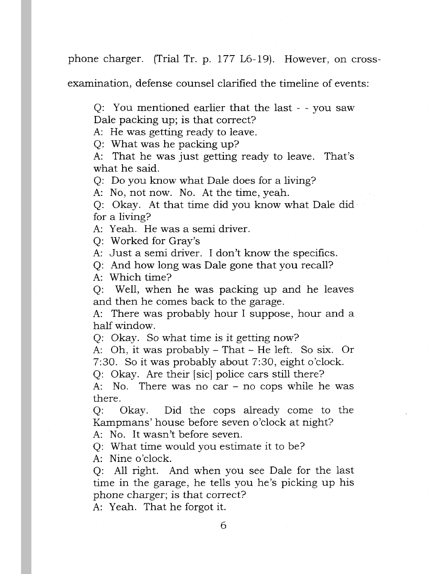phone charger. (Trial Tr. p. 177 L6-19). However, on cross-

examination, defense counsel clarified the timeline of events:

Q: You mentioned earlier that the last - - you saw Dale packing up; is that correct?

A: He was getting ready to leave.

Q: What was he packing up?

A: That he was just getting ready to leave. That's what he said.

Q: Do you know what Dale does for a living?

A: No, not now. No. At the time, yeah.

Q: Okay. At that time did you know what Dale did· for a living?

A: Yeah. He was a semi driver.

Q: Worked for Gray's

A: Just a semi driver. I don't know the specifics.

Q: And how long was Dale gone that you recall?

A: Which time?

Q: Well, when he was packing up and he leaves and then he comes back to the garage.

A: There was probably hour I suppose, hour and a half window.

Q: Okay. So what time is it getting now?

A: Oh, it was probably - That - He left. So six. Or 7:30. So it was probably about 7:30, eight o'clock.

Q: Okay. Are their [sic] police cars still there?

A: No. There was no car - no cops while he was there.

Q: Okay. Did the cops already come to the Kampmans' house before seven o'clock at night?

A: No. It wasn't before seven.

Q: What time would you estimate it to be?

A: Nine o'clock.

Q: All right. And when you see Dale for the last time in the garage, he tells you he's picking up his phone charger; is that correct?

A: Yeah. That he forgot it.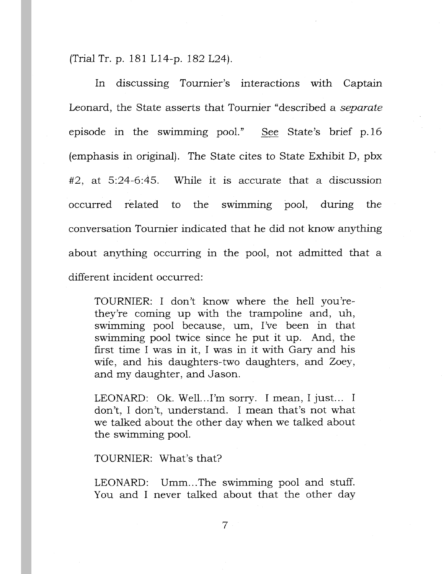(Trial Tr. p. 181 L14-p. 182 L24).

In discussing Tournier's interactions with Captain Leonard, the State asserts that Tournier "described a *separate*  episode in the swimming pool." See State's brief p.16 (emphasis in original). The State cites *to* State Exhibit D, pbx #2, at 5:24-6:45. While it is accurate that a discussion occurred related *to* the swimming pool, during the conversation Tournier indicated that he did not know anything about anything occurring in the pool, not admitted that a different incident occurred:

TOURNIER: I don't know where the hell you'rethey're coming up with the trampoline and, uh, swimming pool because, um, I've been in that swimming pool twice since he put it up. And, the first time I was in it, I was in it with Gary and his wife, and his daughters-two daughters, and Zoey, and my daughter, and Jason.

LEONARD: Ok. Well...I'm sorry. I mean, I just... I don't, I don't, understand. I mean that's not what we talked about the other day when we talked about the swimming pool.

TOURNIER: What's that?

LEONARD: Umm...The swimming pool and stuff. You and I never talked about that the other day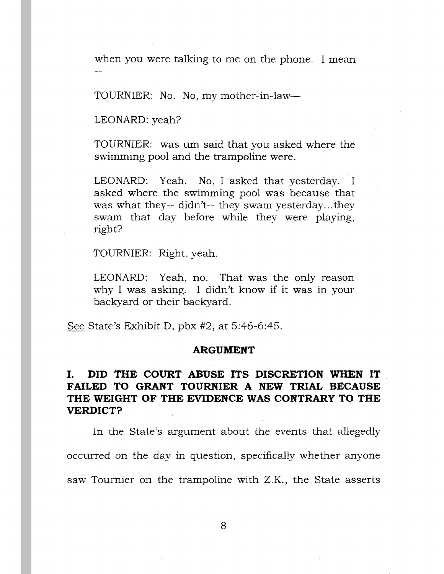when you were talking to me on the phone. I mean

TOURNIER: No. No, my mother-in-law—

LEONARD: yeah?

TOURNIER: was um said that you asked where the swimming pool and the trampoline were.

LEONARD: Yeah. No, I asked that yesterday. I asked where the swimming pool was because that was what they-- didn't-- they swam yesterday...they swam that day before while they were playing, right?

TOURNIER: Right, yeah.

LEONARD: Yeah, no. That was the only reason why I was asking. I didn't know if it was in your backyard or their backyard.

See State's Exhibit D, pbx #2, at 5:46-6:45.

#### **ARGUMENT**

# I. **DID THE COURT ABUSE ITS DISCRETION WHEN IT FAILED TO GRANT TOURNIER A NEW TRIAL BECAUSE THE WEIGHT OF THE EVIDENCE WAS CONTRARY TO THE VERDICT?**

In the State's argument about the events that allegedly occurred on the day in question, specifically whether anyone saw Tournier on the trampoline with Z.K., the State asserts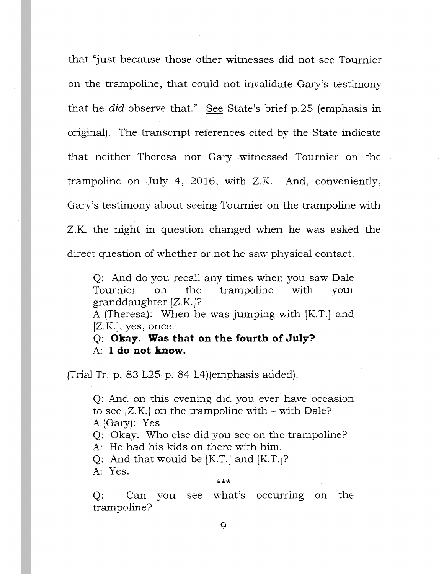that "just because those other witnesses did not see Tournier on the trampoline, that could not invalidate Gary's testimony that he did observe that." See State's brief p.25 (emphasis in original). The transcript references cited by the State indicate that neither Theresa nor Gary witnessed Tournier on the trampoline on July 4, 2016, with Z.K. And, conveniently, Gary's testimony about seeing Tournier on the trampoline with Z.K. the night in question changed when he was asked the direct question of whether or not he saw physical contact.

Q: And do you recall any times when you saw Dale Tournier on the trampoline with your granddaughter [Z.K. ]?

A (Theresa): When he was jumping with [K.T.] and  $[Z.K.]$ , yes, once.

Q: **Okay. Was that on the fourth of July?**  A: **I do not know.** 

(Trial Tr. p. 83 L25-p. 84 L4)(emphasis added).

Q: And on this evening did you ever have occasion to see  $[Z,K]$  on the trampoline with  $-$  with Dale? A (Gary): Yes

Q: Okay. Who else did you see on the trampoline?

A: He had his kids on there with him.

Q: And that would be [K.T.] and [K.T.J?

A: Yes.

#### \*\*\*

Q: Can you see what's occurring on the trampoline?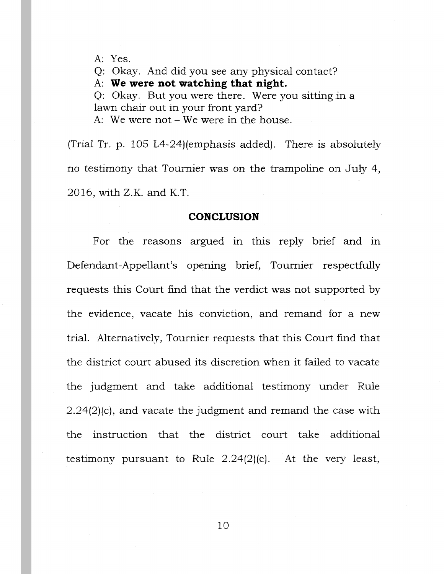A: Yes.

Q: Okay. And did you see any physical contact?

A: **We were not watching that night.** 

Q: Okay. But you were there. Were you sitting in a lawn chair out in your front yard?

A: We were not - We were in the house.

(Trial Tr. p. 105 L4-24)(emphasis added). There is absolutely no testimony that Tournier was on the trampoline on July 4,  $2016$ , with Z.K. and K.T.

### **CONCLUSION**

For the reasons argued in this reply brief and in Defendant-Appellant's opening brief, Tournier respectfully requests this Court find that the verdict was not supported by the evidence, vacate his conviction, and remand for a new trial. Alternatively, Tournier requests that this Court find that the district court abused its discretion when it failed to vacate the judgment and take additional testimony under Rule 2.24(2)(c), and vacate the judgment and remand the case with the instruction that the district court take additional testimony pursuant to Rule 2.24(2)(c). At the very least,

10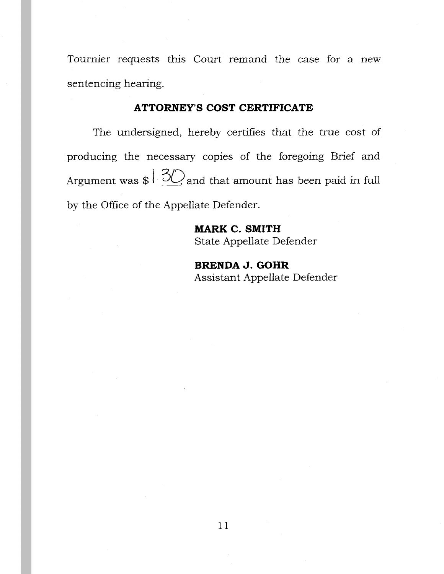Tournier requests this Court remand the case for a new sentencing hearing.

### **ATTORNEY'S COST CERTIFICATE**

The undersigned, hereby certifies that the true cost of producing the necessary copies of the foregoing Brief and Argument was  $\frac{1.30}{2}$  and that amount has been paid in full by the Office of the Appellate Defender.

> **MARK C. SMITH**  State Appellate Defender

**BRENDA J. GOHR**  Assistant Appellate Defender